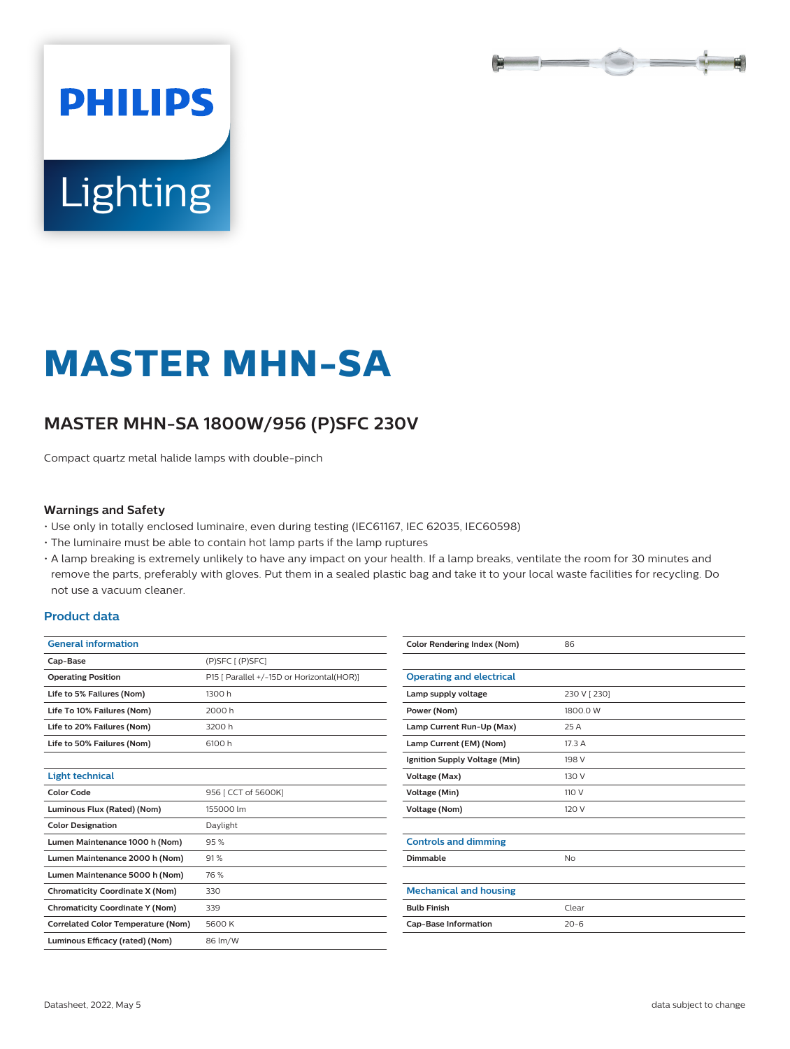

# **Lighting**

**PHILIPS** 

# **MASTER MHN-SA**

# **MASTER MHN-SA 1800W/956 (P)SFC 230V**

Compact quartz metal halide lamps with double-pinch

#### **Warnings and Safety**

- Use only in totally enclosed luminaire, even during testing (IEC61167, IEC 62035, IEC60598)
- The luminaire must be able to contain hot lamp parts if the lamp ruptures
- A lamp breaking is extremely unlikely to have any impact on your health. If a lamp breaks, ventilate the room for 30 minutes and remove the parts, preferably with gloves. Put them in a sealed plastic bag and take it to your local waste facilities for recycling. Do not use a vacuum cleaner.

#### **Product data**

| <b>General information</b> |                                           |
|----------------------------|-------------------------------------------|
| Cap-Base                   | $(P)$ SFC $[$ $(P)$ SFC $]$               |
| <b>Operating Position</b>  | P15 [ Parallel +/-15D or Horizontal(HOR)] |
| Life to 5% Failures (Nom)  | 1300 h                                    |
| Life To 10% Failures (Nom) | 2000 h                                    |
| Life to 20% Failures (Nom) | 3200 h                                    |
| Life to 50% Failures (Nom) | 6100 h                                    |
|                            |                                           |
| Light technical            |                                           |

| Light technical                           |                     |  |
|-------------------------------------------|---------------------|--|
| <b>Color Code</b>                         | 956   CCT of 5600K] |  |
| Luminous Flux (Rated) (Nom)               | 155000 lm           |  |
| <b>Color Designation</b>                  | Daylight            |  |
| Lumen Maintenance 1000 h (Nom)            | 95%                 |  |
| Lumen Maintenance 2000 h (Nom)            | 91%                 |  |
| Lumen Maintenance 5000 h (Nom)            | 76 %                |  |
| <b>Chromaticity Coordinate X (Nom)</b>    | 330                 |  |
| <b>Chromaticity Coordinate Y (Nom)</b>    | 339                 |  |
| <b>Correlated Color Temperature (Nom)</b> | 5600K               |  |
| Luminous Efficacy (rated) (Nom)           | 86 lm/W             |  |
|                                           |                     |  |

| <b>Color Rendering Index (Nom)</b> | 86           |
|------------------------------------|--------------|
|                                    |              |
| <b>Operating and electrical</b>    |              |
| Lamp supply voltage                | 230 V [ 230] |
| Power (Nom)                        | 1800.0 W     |
| Lamp Current Run-Up (Max)          | 25 A         |
| Lamp Current (EM) (Nom)            | 17.3 A       |
| Ignition Supply Voltage (Min)      | 198 V        |
| Voltage (Max)                      | 130 V        |
| Voltage (Min)                      | 110 V        |
| <b>Voltage (Nom)</b>               | 120 V        |
|                                    |              |
| <b>Controls and dimming</b>        |              |
| Dimmable                           | No           |
|                                    |              |
| <b>Mechanical and housing</b>      |              |
| <b>Bulb Finish</b>                 | Clear        |
| <b>Cap-Base Information</b>        | $20 - 6$     |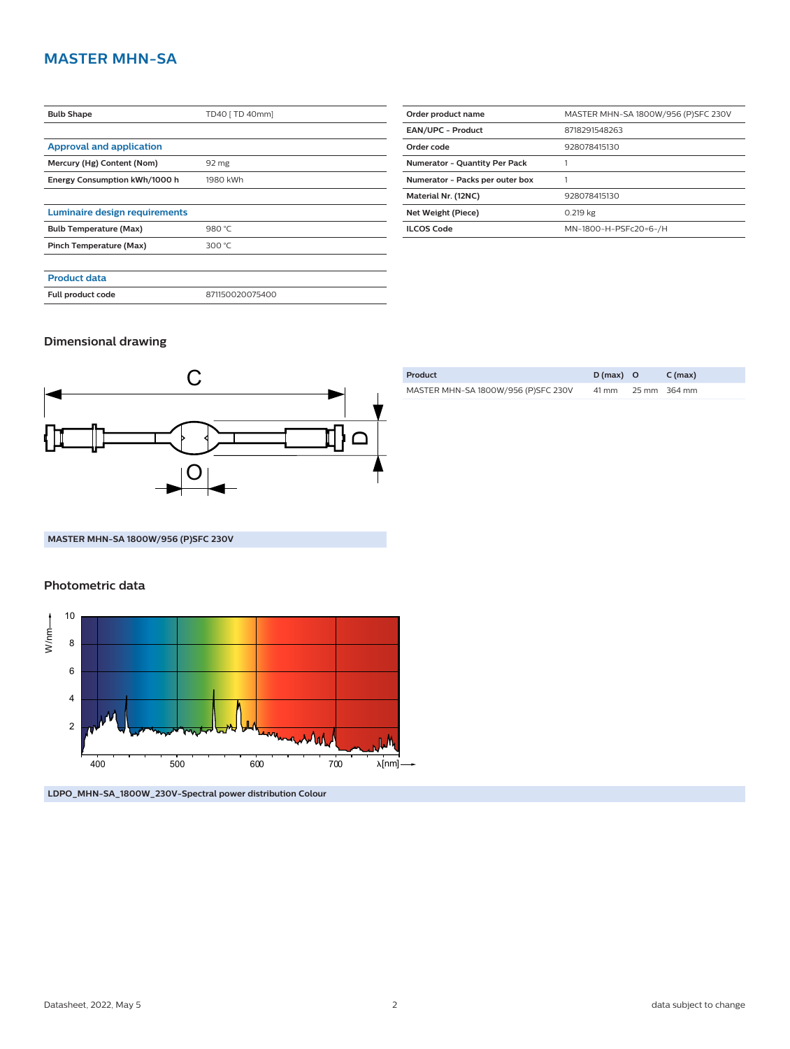## **MASTER MHN-SA**

| <b>Bulb Shape</b>               | TD40 [ TD 40mm] |  |  |
|---------------------------------|-----------------|--|--|
|                                 |                 |  |  |
| <b>Approval and application</b> |                 |  |  |
| Mercury (Hg) Content (Nom)      | 92 mg           |  |  |
| Energy Consumption kWh/1000 h   | 1980 kWh        |  |  |
|                                 |                 |  |  |
| Luminaire design requirements   |                 |  |  |
| <b>Bulb Temperature (Max)</b>   | 980 °C          |  |  |
| Pinch Temperature (Max)         | 300 °C          |  |  |
|                                 |                 |  |  |
| <b>Product data</b>             |                 |  |  |
| Full product code               | 871150020075400 |  |  |

| Order product name                   | MASTER MHN-SA 1800W/956 (P)SFC 230V |  |  |  |
|--------------------------------------|-------------------------------------|--|--|--|
| <b>EAN/UPC - Product</b>             | 8718291548263                       |  |  |  |
| Order code                           | 928078415130                        |  |  |  |
| <b>Numerator - Quantity Per Pack</b> |                                     |  |  |  |
| Numerator - Packs per outer box      |                                     |  |  |  |
| Material Nr. (12NC)                  | 928078415130                        |  |  |  |
| Net Weight (Piece)                   | 0.219 kg                            |  |  |  |
| <b>ILCOS Code</b>                    | MN-1800-H-PSFc20=6-/H               |  |  |  |

### **Dimensional drawing**



| Product                             | $D(max)$ O | $C$ (max)    |
|-------------------------------------|------------|--------------|
| MASTER MHN-SA 1800W/956 (P)SFC 230V | 41 mm      | 25 mm 364 mm |

#### **MASTER MHN-SA 1800W/956 (P)SFC 230V**

#### **Photometric data**



**LDPO\_MHN-SA\_1800W\_230V-Spectral power distribution Colour**